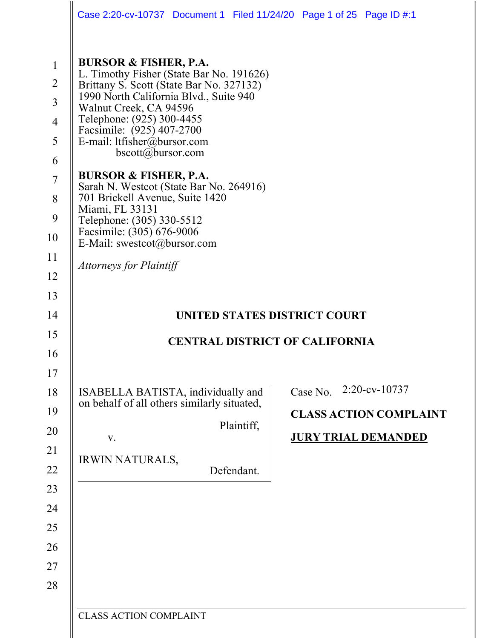|                                                                                                                      | Case 2:20-cv-10737 Document 1 Filed 11/24/20 Page 1 of 25 Page ID #:1                                                                                                                                                                                                                                                                                                                                                                                                                                                                                                      |                                                                                                       |  |                                                             |               |  |
|----------------------------------------------------------------------------------------------------------------------|----------------------------------------------------------------------------------------------------------------------------------------------------------------------------------------------------------------------------------------------------------------------------------------------------------------------------------------------------------------------------------------------------------------------------------------------------------------------------------------------------------------------------------------------------------------------------|-------------------------------------------------------------------------------------------------------|--|-------------------------------------------------------------|---------------|--|
| $\mathbf{1}$<br>$\overline{2}$<br>$\overline{3}$<br>$\overline{4}$<br>5<br>6<br>$\overline{7}$<br>8<br>9<br>10<br>11 | <b>BURSOR &amp; FISHER, P.A.</b><br>L. Timothy Fisher (State Bar No. 191626)<br>Brittany S. Scott (State Bar No. 327132)<br>1990 North California Blvd., Suite 940<br>Walnut Creek, CA 94596<br>Telephone: (925) 300-4455<br>Facsimile: (925) 407-2700<br>E-mail: ltfisher@bursor.com<br>bscott@bursor.com<br><b>BURSOR &amp; FISHER, P.A.</b><br>Sarah N. Westcot (State Bar No. 264916)<br>701 Brickell Avenue, Suite 1420<br>Miami, FL 33131<br>Telephone: (305) 330-5512<br>Facsimile: (305) 676-9006<br>E-Mail: swestcot@bursor.com<br><b>Attorneys for Plaintiff</b> |                                                                                                       |  |                                                             |               |  |
| 12<br>13                                                                                                             |                                                                                                                                                                                                                                                                                                                                                                                                                                                                                                                                                                            |                                                                                                       |  |                                                             |               |  |
| 14                                                                                                                   |                                                                                                                                                                                                                                                                                                                                                                                                                                                                                                                                                                            | UNITED STATES DISTRICT COURT                                                                          |  |                                                             |               |  |
| 15                                                                                                                   | <b>CENTRAL DISTRICT OF CALIFORNIA</b>                                                                                                                                                                                                                                                                                                                                                                                                                                                                                                                                      |                                                                                                       |  |                                                             |               |  |
| 16                                                                                                                   |                                                                                                                                                                                                                                                                                                                                                                                                                                                                                                                                                                            |                                                                                                       |  |                                                             |               |  |
| 17                                                                                                                   |                                                                                                                                                                                                                                                                                                                                                                                                                                                                                                                                                                            |                                                                                                       |  |                                                             |               |  |
| 18                                                                                                                   |                                                                                                                                                                                                                                                                                                                                                                                                                                                                                                                                                                            | ISABELLA BATISTA, individually and<br>on behalf of all others similarly situated,<br>Plaintiff,<br>V. |  | Case No.                                                    | 2:20-cv-10737 |  |
| 19                                                                                                                   |                                                                                                                                                                                                                                                                                                                                                                                                                                                                                                                                                                            |                                                                                                       |  | <b>CLASS ACTION COMPLAINT</b><br><b>JURY TRIAL DEMANDED</b> |               |  |
| 20                                                                                                                   |                                                                                                                                                                                                                                                                                                                                                                                                                                                                                                                                                                            |                                                                                                       |  |                                                             |               |  |
| 21                                                                                                                   | <b>IRWIN NATURALS,</b>                                                                                                                                                                                                                                                                                                                                                                                                                                                                                                                                                     |                                                                                                       |  |                                                             |               |  |
| 22                                                                                                                   | Defendant.                                                                                                                                                                                                                                                                                                                                                                                                                                                                                                                                                                 |                                                                                                       |  |                                                             |               |  |
| 23                                                                                                                   |                                                                                                                                                                                                                                                                                                                                                                                                                                                                                                                                                                            |                                                                                                       |  |                                                             |               |  |
| 24                                                                                                                   |                                                                                                                                                                                                                                                                                                                                                                                                                                                                                                                                                                            |                                                                                                       |  |                                                             |               |  |
| 25                                                                                                                   |                                                                                                                                                                                                                                                                                                                                                                                                                                                                                                                                                                            |                                                                                                       |  |                                                             |               |  |
| 26                                                                                                                   |                                                                                                                                                                                                                                                                                                                                                                                                                                                                                                                                                                            |                                                                                                       |  |                                                             |               |  |
| 27<br>28                                                                                                             |                                                                                                                                                                                                                                                                                                                                                                                                                                                                                                                                                                            |                                                                                                       |  |                                                             |               |  |
|                                                                                                                      |                                                                                                                                                                                                                                                                                                                                                                                                                                                                                                                                                                            |                                                                                                       |  |                                                             |               |  |
|                                                                                                                      | <b>CLASS ACTION COMPLAINT</b>                                                                                                                                                                                                                                                                                                                                                                                                                                                                                                                                              |                                                                                                       |  |                                                             |               |  |
|                                                                                                                      |                                                                                                                                                                                                                                                                                                                                                                                                                                                                                                                                                                            |                                                                                                       |  |                                                             |               |  |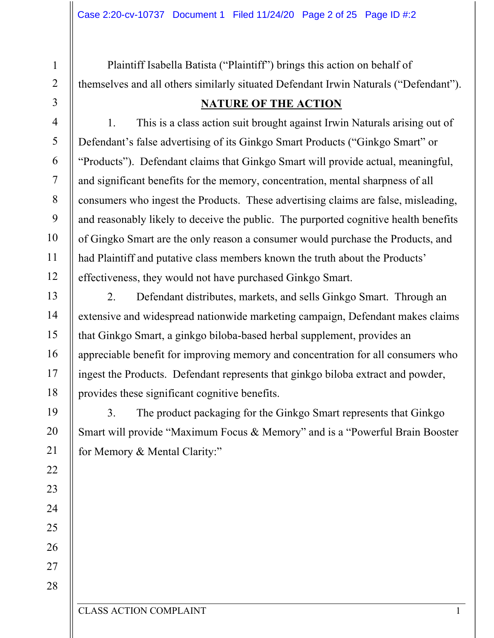Plaintiff Isabella Batista ("Plaintiff") brings this action on behalf of themselves and all others similarly situated Defendant Irwin Naturals ("Defendant").

## **NATURE OF THE ACTION**

1. This is a class action suit brought against Irwin Naturals arising out of Defendant's false advertising of its Ginkgo Smart Products ("Ginkgo Smart" or "Products"). Defendant claims that Ginkgo Smart will provide actual, meaningful, and significant benefits for the memory, concentration, mental sharpness of all consumers who ingest the Products. These advertising claims are false, misleading, and reasonably likely to deceive the public. The purported cognitive health benefits of Gingko Smart are the only reason a consumer would purchase the Products, and had Plaintiff and putative class members known the truth about the Products' effectiveness, they would not have purchased Ginkgo Smart.

2. Defendant distributes, markets, and sells Ginkgo Smart. Through an extensive and widespread nationwide marketing campaign, Defendant makes claims that Ginkgo Smart, a ginkgo biloba-based herbal supplement, provides an appreciable benefit for improving memory and concentration for all consumers who ingest the Products. Defendant represents that ginkgo biloba extract and powder, provides these significant cognitive benefits.

3. The product packaging for the Ginkgo Smart represents that Ginkgo Smart will provide "Maximum Focus & Memory" and is a "Powerful Brain Booster for Memory & Mental Clarity:"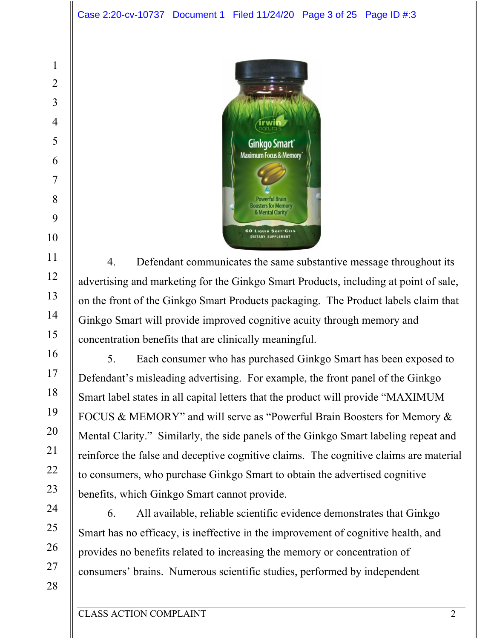

4. Defendant communicates the same substantive message throughout its advertising and marketing for the Ginkgo Smart Products, including at point of sale, on the front of the Ginkgo Smart Products packaging. The Product labels claim that Ginkgo Smart will provide improved cognitive acuity through memory and concentration benefits that are clinically meaningful.

5. Each consumer who has purchased Ginkgo Smart has been exposed to Defendant's misleading advertising. For example, the front panel of the Ginkgo Smart label states in all capital letters that the product will provide "MAXIMUM FOCUS & MEMORY" and will serve as "Powerful Brain Boosters for Memory & Mental Clarity." Similarly, the side panels of the Ginkgo Smart labeling repeat and reinforce the false and deceptive cognitive claims. The cognitive claims are material to consumers, who purchase Ginkgo Smart to obtain the advertised cognitive benefits, which Ginkgo Smart cannot provide.

6. All available, reliable scientific evidence demonstrates that Ginkgo Smart has no efficacy, is ineffective in the improvement of cognitive health, and provides no benefits related to increasing the memory or concentration of consumers' brains. Numerous scientific studies, performed by independent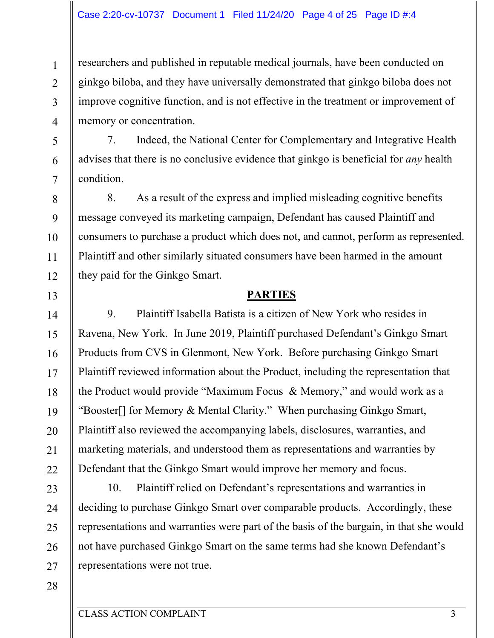researchers and published in reputable medical journals, have been conducted on ginkgo biloba, and they have universally demonstrated that ginkgo biloba does not improve cognitive function, and is not effective in the treatment or improvement of memory or concentration.

7. Indeed, the National Center for Complementary and Integrative Health advises that there is no conclusive evidence that ginkgo is beneficial for *any* health condition.

8. As a result of the express and implied misleading cognitive benefits message conveyed its marketing campaign, Defendant has caused Plaintiff and consumers to purchase a product which does not, and cannot, perform as represented. Plaintiff and other similarly situated consumers have been harmed in the amount they paid for the Ginkgo Smart.

#### **PARTIES**

9. Plaintiff Isabella Batista is a citizen of New York who resides in Ravena, New York. In June 2019, Plaintiff purchased Defendant's Ginkgo Smart Products from CVS in Glenmont, New York. Before purchasing Ginkgo Smart Plaintiff reviewed information about the Product, including the representation that the Product would provide "Maximum Focus & Memory," and would work as a "Booster[] for Memory & Mental Clarity." When purchasing Ginkgo Smart, Plaintiff also reviewed the accompanying labels, disclosures, warranties, and marketing materials, and understood them as representations and warranties by Defendant that the Ginkgo Smart would improve her memory and focus.

10. Plaintiff relied on Defendant's representations and warranties in deciding to purchase Ginkgo Smart over comparable products. Accordingly, these representations and warranties were part of the basis of the bargain, in that she would not have purchased Ginkgo Smart on the same terms had she known Defendant's representations were not true.

27 28

1

2

3

4

5

6

7

8

9

10

11

12

13

14

15

16

17

18

19

20

21

22

23

24

25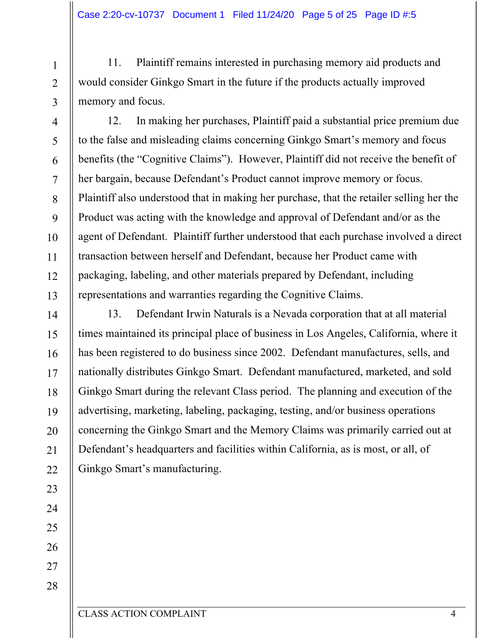11. Plaintiff remains interested in purchasing memory aid products and would consider Ginkgo Smart in the future if the products actually improved memory and focus.

12. In making her purchases, Plaintiff paid a substantial price premium due to the false and misleading claims concerning Ginkgo Smart's memory and focus benefits (the "Cognitive Claims"). However, Plaintiff did not receive the benefit of her bargain, because Defendant's Product cannot improve memory or focus. Plaintiff also understood that in making her purchase, that the retailer selling her the Product was acting with the knowledge and approval of Defendant and/or as the agent of Defendant. Plaintiff further understood that each purchase involved a direct transaction between herself and Defendant, because her Product came with packaging, labeling, and other materials prepared by Defendant, including representations and warranties regarding the Cognitive Claims.

13. Defendant Irwin Naturals is a Nevada corporation that at all material times maintained its principal place of business in Los Angeles, California, where it has been registered to do business since 2002. Defendant manufactures, sells, and nationally distributes Ginkgo Smart. Defendant manufactured, marketed, and sold Ginkgo Smart during the relevant Class period. The planning and execution of the advertising, marketing, labeling, packaging, testing, and/or business operations concerning the Ginkgo Smart and the Memory Claims was primarily carried out at Defendant's headquarters and facilities within California, as is most, or all, of Ginkgo Smart's manufacturing.

1

2

3

4

5

6

7

8

9

10

11

12

13

14

15

16

17

18

19

20

21

22

23

24

25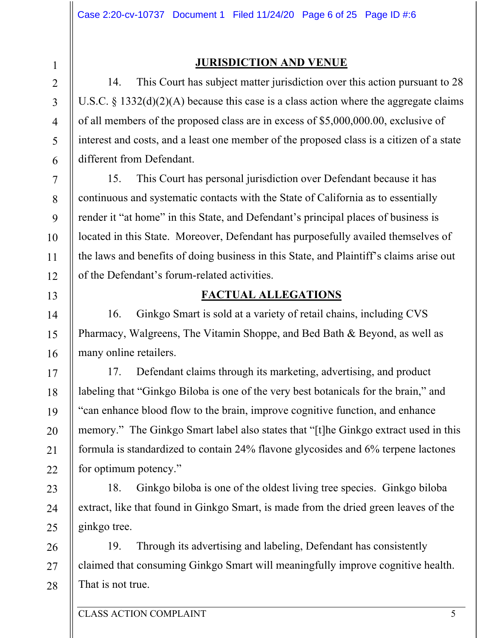4

5

6

7

8

9

10

11

12

13

14

15

16

17

18

19

20

21

22

23

24

25

#### **JURISDICTION AND VENUE**

14. This Court has subject matter jurisdiction over this action pursuant to 28 U.S.C. § 1332(d)(2)(A) because this case is a class action where the aggregate claims of all members of the proposed class are in excess of \$5,000,000.00, exclusive of interest and costs, and a least one member of the proposed class is a citizen of a state different from Defendant.

15. This Court has personal jurisdiction over Defendant because it has continuous and systematic contacts with the State of California as to essentially render it "at home" in this State, and Defendant's principal places of business is located in this State. Moreover, Defendant has purposefully availed themselves of the laws and benefits of doing business in this State, and Plaintiff's claims arise out of the Defendant's forum-related activities.

## **FACTUAL ALLEGATIONS**

16. Ginkgo Smart is sold at a variety of retail chains, including CVS Pharmacy, Walgreens, The Vitamin Shoppe, and Bed Bath & Beyond, as well as many online retailers.

17. Defendant claims through its marketing, advertising, and product labeling that "Ginkgo Biloba is one of the very best botanicals for the brain," and "can enhance blood flow to the brain, improve cognitive function, and enhance memory." The Ginkgo Smart label also states that "[t]he Ginkgo extract used in this formula is standardized to contain 24% flavone glycosides and 6% terpene lactones for optimum potency."

18. Ginkgo biloba is one of the oldest living tree species. Ginkgo biloba extract, like that found in Ginkgo Smart, is made from the dried green leaves of the ginkgo tree.

26 27 28 19. Through its advertising and labeling, Defendant has consistently claimed that consuming Ginkgo Smart will meaningfully improve cognitive health. That is not true.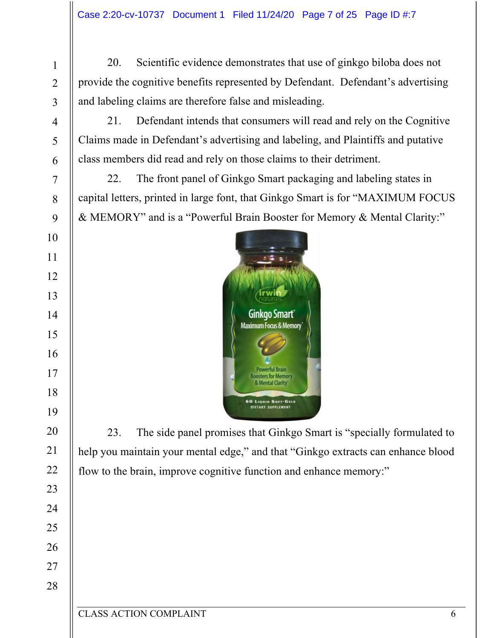20. Scientific evidence demonstrates that use of ginkgo biloba does not provide the cognitive benefits represented by Defendant. Defendant's advertising and labeling claims are therefore false and misleading.

21. Defendant intends that consumers will read and rely on the Cognitive Claims made in Defendant's advertising and labeling, and Plaintiffs and putative class members did read and rely on those claims to their detriment.

22. The front panel of Ginkgo Smart packaging and labeling states in capital letters, printed in large font, that Ginkgo Smart is for "MAXIMUM FOCUS & MEMORY" and is a "Powerful Brain Booster for Memory & Mental Clarity:"



23. The side panel promises that Ginkgo Smart is "specially formulated to help you maintain your mental edge," and that "Ginkgo extracts can enhance blood flow to the brain, improve cognitive function and enhance memory:"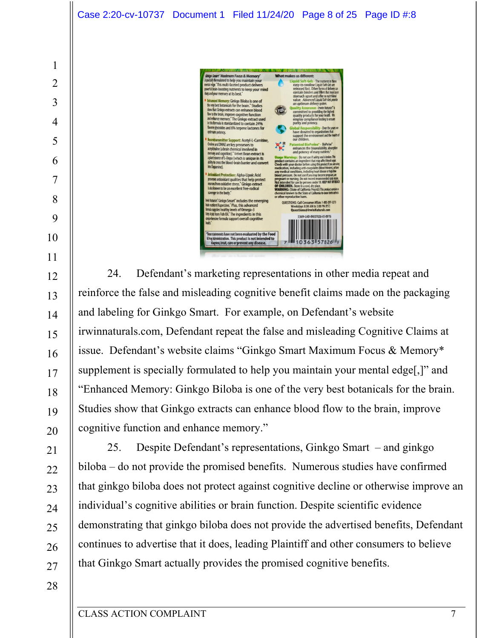

reinforce the false and misleading cognitive benefit claims made on the packaging and labeling for Ginkgo Smart. For example, on Defendant's website irwinnaturals.com, Defendant repeat the false and misleading Cognitive Claims at issue. Defendant's website claims "Ginkgo Smart Maximum Focus & Memory\* supplement is specially formulated to help you maintain your mental edge[,]" and "Enhanced Memory: Ginkgo Biloba is one of the very best botanicals for the brain. Studies show that Ginkgo extracts can enhance blood flow to the brain, improve cognitive function and enhance memory."

25. Despite Defendant's representations, Ginkgo Smart – and ginkgo biloba – do not provide the promised benefits. Numerous studies have confirmed that ginkgo biloba does not protect against cognitive decline or otherwise improve an individual's cognitive abilities or brain function. Despite scientific evidence demonstrating that ginkgo biloba does not provide the advertised benefits, Defendant continues to advertise that it does, leading Plaintiff and other consumers to believe that Ginkgo Smart actually provides the promised cognitive benefits.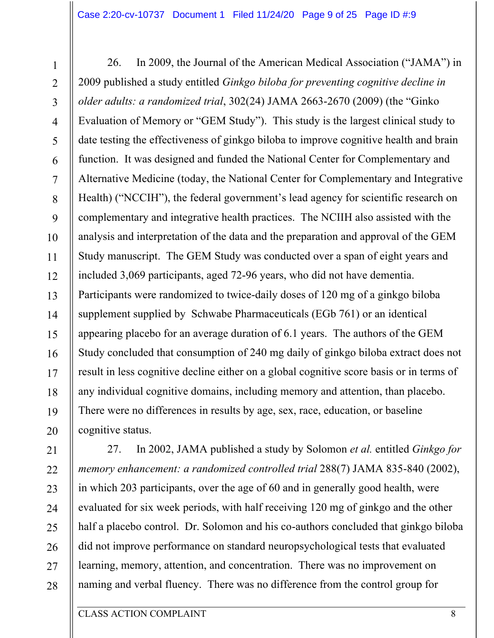26. In 2009, the Journal of the American Medical Association ("JAMA") in 2009 published a study entitled *Ginkgo biloba for preventing cognitive decline in older adults: a randomized trial*, 302(24) JAMA 2663-2670 (2009) (the "Ginko Evaluation of Memory or "GEM Study"). This study is the largest clinical study to date testing the effectiveness of ginkgo biloba to improve cognitive health and brain function. It was designed and funded the National Center for Complementary and Alternative Medicine (today, the National Center for Complementary and Integrative Health) ("NCCIH"), the federal government's lead agency for scientific research on complementary and integrative health practices. The NCIIH also assisted with the analysis and interpretation of the data and the preparation and approval of the GEM Study manuscript. The GEM Study was conducted over a span of eight years and included 3,069 participants, aged 72-96 years, who did not have dementia. Participants were randomized to twice-daily doses of 120 mg of a ginkgo biloba supplement supplied by Schwabe Pharmaceuticals (EGb 761) or an identical appearing placebo for an average duration of 6.1 years. The authors of the GEM Study concluded that consumption of 240 mg daily of ginkgo biloba extract does not result in less cognitive decline either on a global cognitive score basis or in terms of any individual cognitive domains, including memory and attention, than placebo. There were no differences in results by age, sex, race, education, or baseline cognitive status.

27. In 2002, JAMA published a study by Solomon *et al.* entitled *Ginkgo for memory enhancement: a randomized controlled trial* 288(7) JAMA 835-840 (2002), in which 203 participants, over the age of 60 and in generally good health, were evaluated for six week periods, with half receiving 120 mg of ginkgo and the other half a placebo control. Dr. Solomon and his co-authors concluded that ginkgo biloba did not improve performance on standard neuropsychological tests that evaluated learning, memory, attention, and concentration. There was no improvement on naming and verbal fluency. There was no difference from the control group for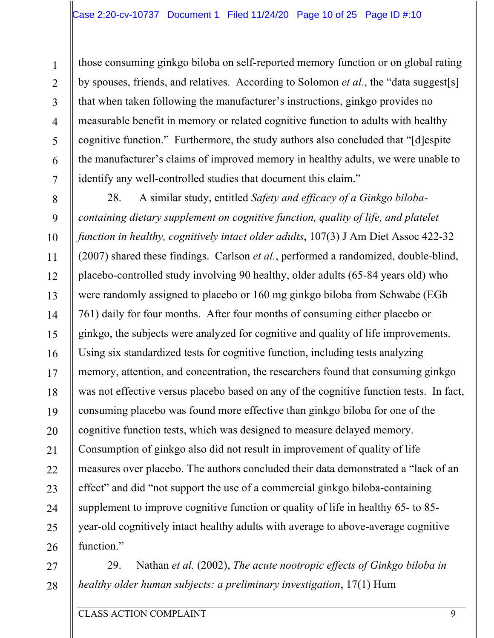those consuming ginkgo biloba on self-reported memory function or on global rating by spouses, friends, and relatives. According to Solomon *et al.*, the "data suggest[s] that when taken following the manufacturer's instructions, ginkgo provides no measurable benefit in memory or related cognitive function to adults with healthy cognitive function." Furthermore, the study authors also concluded that "[d]espite the manufacturer's claims of improved memory in healthy adults, we were unable to identify any well-controlled studies that document this claim."

28. A similar study, entitled *Safety and efficacy of a Ginkgo bilobacontaining dietary supplement on cognitive function, quality of life, and platelet function in healthy, cognitively intact older adults*, 107(3) J Am Diet Assoc 422-32 (2007) shared these findings. Carlson *et al.*, performed a randomized, double-blind, placebo-controlled study involving 90 healthy, older adults (65-84 years old) who were randomly assigned to placebo or 160 mg ginkgo biloba from Schwabe (EGb 761) daily for four months. After four months of consuming either placebo or ginkgo, the subjects were analyzed for cognitive and quality of life improvements. Using six standardized tests for cognitive function, including tests analyzing memory, attention, and concentration, the researchers found that consuming ginkgo was not effective versus placebo based on any of the cognitive function tests. In fact, consuming placebo was found more effective than ginkgo biloba for one of the cognitive function tests, which was designed to measure delayed memory. Consumption of ginkgo also did not result in improvement of quality of life measures over placebo. The authors concluded their data demonstrated a "lack of an effect" and did "not support the use of a commercial ginkgo biloba-containing supplement to improve cognitive function or quality of life in healthy 65- to 85 year-old cognitively intact healthy adults with average to above-average cognitive function."

27 28 29. Nathan *et al.* (2002), *The acute nootropic effects of Ginkgo biloba in healthy older human subjects: a preliminary investigation*, 17(1) Hum

1

2

3

4

5

6

7

8

9

10

11

12

13

14

15

16

17

18

19

20

21

22

23

24

25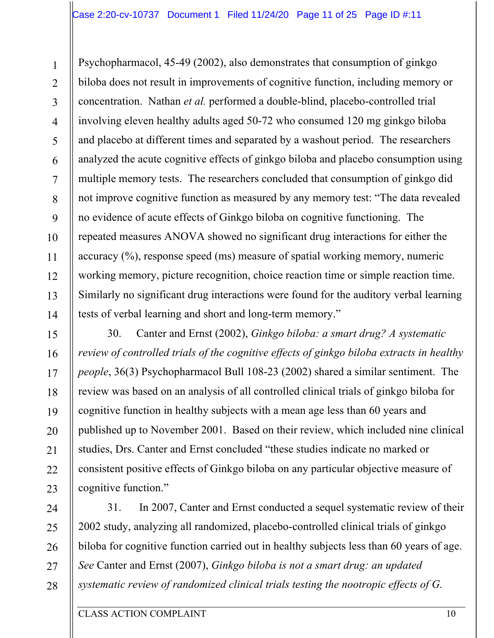Psychopharmacol, 45-49 (2002), also demonstrates that consumption of ginkgo biloba does not result in improvements of cognitive function, including memory or concentration. Nathan *et al.* performed a double-blind, placebo-controlled trial involving eleven healthy adults aged 50-72 who consumed 120 mg ginkgo biloba and placebo at different times and separated by a washout period. The researchers analyzed the acute cognitive effects of ginkgo biloba and placebo consumption using multiple memory tests. The researchers concluded that consumption of ginkgo did not improve cognitive function as measured by any memory test: "The data revealed no evidence of acute effects of Ginkgo biloba on cognitive functioning. The repeated measures ANOVA showed no significant drug interactions for either the accuracy (%), response speed (ms) measure of spatial working memory, numeric working memory, picture recognition, choice reaction time or simple reaction time. Similarly no significant drug interactions were found for the auditory verbal learning tests of verbal learning and short and long-term memory."

30. Canter and Ernst (2002), *Ginkgo biloba: a smart drug? A systematic review of controlled trials of the cognitive effects of ginkgo biloba extracts in healthy people*, 36(3) Psychopharmacol Bull 108-23 (2002) shared a similar sentiment. The review was based on an analysis of all controlled clinical trials of ginkgo biloba for cognitive function in healthy subjects with a mean age less than 60 years and published up to November 2001. Based on their review, which included nine clinical studies, Drs. Canter and Ernst concluded "these studies indicate no marked or consistent positive effects of Ginkgo biloba on any particular objective measure of cognitive function."

31. In 2007, Canter and Ernst conducted a sequel systematic review of their 2002 study, analyzing all randomized, placebo-controlled clinical trials of ginkgo biloba for cognitive function carried out in healthy subjects less than 60 years of age. *See* Canter and Ernst (2007), *Ginkgo biloba is not a smart drug: an updated systematic review of randomized clinical trials testing the nootropic effects of G.* 

1

2

3

4

5

6

7

8

9

10

11

12

13

14

15

16

17

18

19

20

21

22

23

24

25

26

27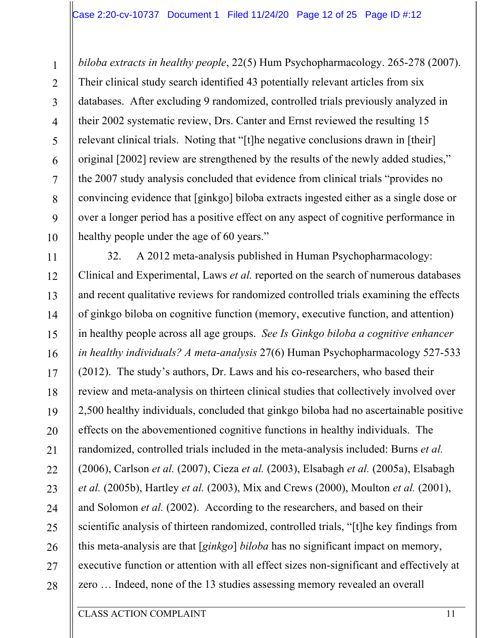*biloba extracts in healthy people*, 22(5) Hum Psychopharmacology. 265-278 (2007). Their clinical study search identified 43 potentially relevant articles from six databases. After excluding 9 randomized, controlled trials previously analyzed in their 2002 systematic review, Drs. Canter and Ernst reviewed the resulting 15 relevant clinical trials. Noting that "[t]he negative conclusions drawn in [their] original [2002] review are strengthened by the results of the newly added studies," the 2007 study analysis concluded that evidence from clinical trials "provides no convincing evidence that [ginkgo] biloba extracts ingested either as a single dose or over a longer period has a positive effect on any aspect of cognitive performance in healthy people under the age of 60 years."

32. A 2012 meta-analysis published in Human Psychopharmacology: Clinical and Experimental, Laws *et al.* reported on the search of numerous databases and recent qualitative reviews for randomized controlled trials examining the effects of ginkgo biloba on cognitive function (memory, executive function, and attention) in healthy people across all age groups. *See Is Ginkgo biloba a cognitive enhancer in healthy individuals? A meta-analysis* 27(6) Human Psychopharmacology 527-533 (2012). The study's authors, Dr. Laws and his co-researchers, who based their review and meta-analysis on thirteen clinical studies that collectively involved over 2,500 healthy individuals, concluded that ginkgo biloba had no ascertainable positive effects on the abovementioned cognitive functions in healthy individuals. The randomized, controlled trials included in the meta-analysis included: Burns *et al.* (2006), Carlson *et al.* (2007), Cieza *et al.* (2003), Elsabagh *et al.* (2005a), Elsabagh *et al.* (2005b), Hartley *et al.* (2003), Mix and Crews (2000), Moulton *et al.* (2001), and Solomon *et al.* (2002). According to the researchers, and based on their scientific analysis of thirteen randomized, controlled trials, "[t]he key findings from this meta-analysis are that [*ginkgo*] *biloba* has no significant impact on memory, executive function or attention with all effect sizes non-significant and effectively at zero … Indeed, none of the 13 studies assessing memory revealed an overall

1

2

3

4

5

6

7

8

9

10

11

12

13

14

15

16

17

18

19

20

21

22

23

24

25

26

27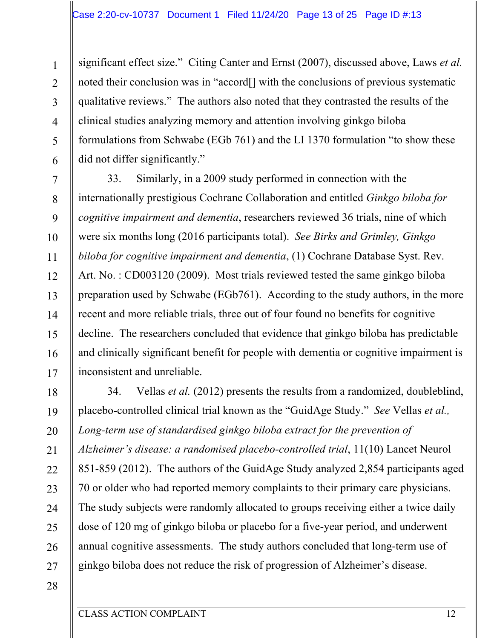significant effect size." Citing Canter and Ernst (2007), discussed above, Laws *et al.* noted their conclusion was in "accord[] with the conclusions of previous systematic qualitative reviews." The authors also noted that they contrasted the results of the clinical studies analyzing memory and attention involving ginkgo biloba formulations from Schwabe (EGb 761) and the LI 1370 formulation "to show these did not differ significantly."

33. Similarly, in a 2009 study performed in connection with the internationally prestigious Cochrane Collaboration and entitled *Ginkgo biloba for cognitive impairment and dementia*, researchers reviewed 36 trials, nine of which were six months long (2016 participants total). *See Birks and Grimley, Ginkgo biloba for cognitive impairment and dementia*, (1) Cochrane Database Syst. Rev. Art. No. : CD003120 (2009). Most trials reviewed tested the same ginkgo biloba preparation used by Schwabe (EGb761). According to the study authors, in the more recent and more reliable trials, three out of four found no benefits for cognitive decline. The researchers concluded that evidence that ginkgo biloba has predictable and clinically significant benefit for people with dementia or cognitive impairment is inconsistent and unreliable.

34. Vellas *et al.* (2012) presents the results from a randomized, doubleblind, placebo-controlled clinical trial known as the "GuidAge Study." *See* Vellas *et al.,*  Long-term use of standardised ginkgo biloba extract for the prevention of *Alzheimer's disease: a randomised placebo-controlled trial*, 11(10) Lancet Neurol 851-859 (2012). The authors of the GuidAge Study analyzed 2,854 participants aged 70 or older who had reported memory complaints to their primary care physicians. The study subjects were randomly allocated to groups receiving either a twice daily dose of 120 mg of ginkgo biloba or placebo for a five-year period, and underwent annual cognitive assessments. The study authors concluded that long-term use of ginkgo biloba does not reduce the risk of progression of Alzheimer's disease.

28

1

2

3

4

5

6

7

8

9

10

11

12

13

14

15

16

17

18

19

20

21

22

23

24

25

26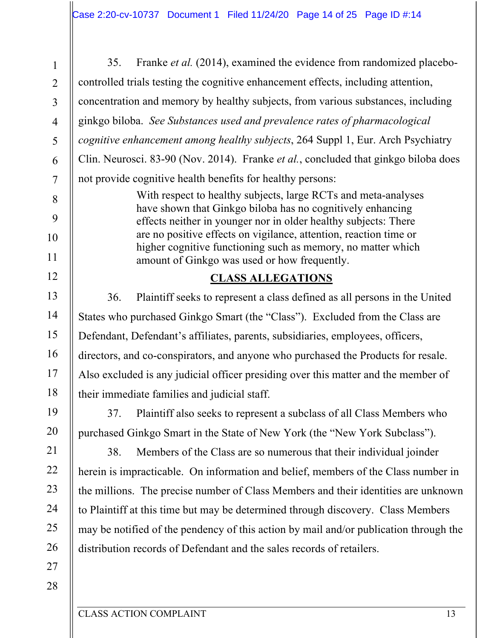35. Franke *et al.* (2014), examined the evidence from randomized placebocontrolled trials testing the cognitive enhancement effects, including attention, concentration and memory by healthy subjects, from various substances, including ginkgo biloba. *See Substances used and prevalence rates of pharmacological cognitive enhancement among healthy subjects*, 264 Suppl 1, Eur. Arch Psychiatry Clin. Neurosci. 83-90 (Nov. 2014). Franke *et al.*, concluded that ginkgo biloba does not provide cognitive health benefits for healthy persons:

> With respect to healthy subjects, large RCTs and meta-analyses have shown that Ginkgo biloba has no cognitively enhancing effects neither in younger nor in older healthy subjects: There are no positive effects on vigilance, attention, reaction time or higher cognitive functioning such as memory, no matter which amount of Ginkgo was used or how frequently.

## **CLASS ALLEGATIONS**

36. Plaintiff seeks to represent a class defined as all persons in the United States who purchased Ginkgo Smart (the "Class"). Excluded from the Class are Defendant, Defendant's affiliates, parents, subsidiaries, employees, officers, directors, and co-conspirators, and anyone who purchased the Products for resale. Also excluded is any judicial officer presiding over this matter and the member of their immediate families and judicial staff.

37. Plaintiff also seeks to represent a subclass of all Class Members who purchased Ginkgo Smart in the State of New York (the "New York Subclass").

38. Members of the Class are so numerous that their individual joinder herein is impracticable. On information and belief, members of the Class number in the millions. The precise number of Class Members and their identities are unknown to Plaintiff at this time but may be determined through discovery. Class Members may be notified of the pendency of this action by mail and/or publication through the distribution records of Defendant and the sales records of retailers.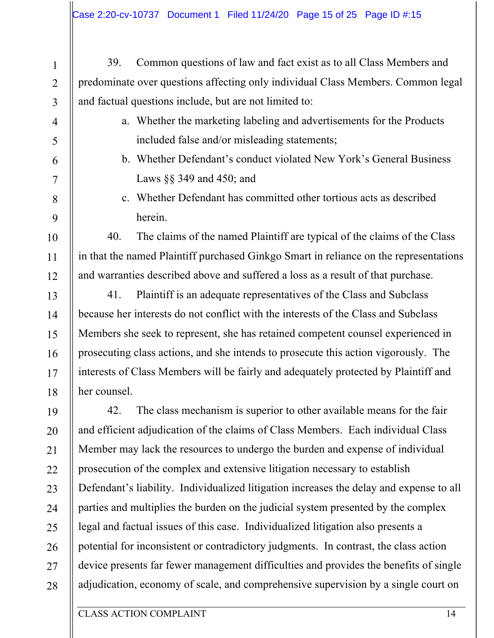1 2 3 4 5 6 7 8 9 10 11 12 13 14 15 16 17 18 19 20 21 22 23 24 25 26 27 28 39. Common questions of law and fact exist as to all Class Members and predominate over questions affecting only individual Class Members. Common legal and factual questions include, but are not limited to: a. Whether the marketing labeling and advertisements for the Products included false and/or misleading statements; b. Whether Defendant's conduct violated New York's General Business Laws §§ 349 and 450; and c. Whether Defendant has committed other tortious acts as described herein. 40. The claims of the named Plaintiff are typical of the claims of the Class in that the named Plaintiff purchased Ginkgo Smart in reliance on the representations and warranties described above and suffered a loss as a result of that purchase. 41. Plaintiff is an adequate representatives of the Class and Subclass because her interests do not conflict with the interests of the Class and Subclass Members she seek to represent, she has retained competent counsel experienced in prosecuting class actions, and she intends to prosecute this action vigorously. The interests of Class Members will be fairly and adequately protected by Plaintiff and her counsel. 42. The class mechanism is superior to other available means for the fair and efficient adjudication of the claims of Class Members. Each individual Class Member may lack the resources to undergo the burden and expense of individual prosecution of the complex and extensive litigation necessary to establish Defendant's liability. Individualized litigation increases the delay and expense to all parties and multiplies the burden on the judicial system presented by the complex legal and factual issues of this case. Individualized litigation also presents a potential for inconsistent or contradictory judgments. In contrast, the class action device presents far fewer management difficulties and provides the benefits of single adjudication, economy of scale, and comprehensive supervision by a single court on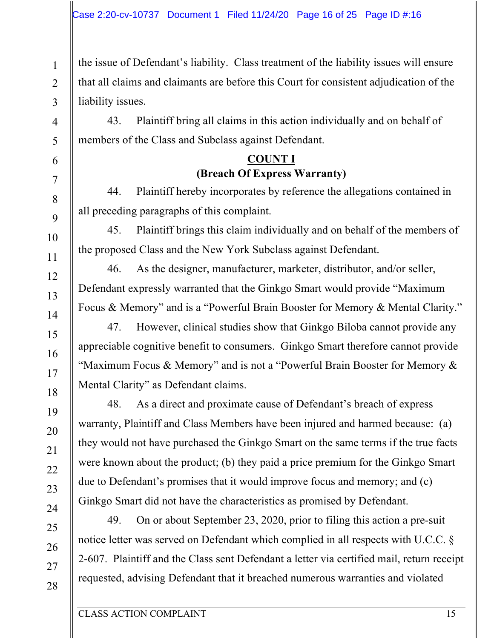the issue of Defendant's liability. Class treatment of the liability issues will ensure that all claims and claimants are before this Court for consistent adjudication of the liability issues.

43. Plaintiff bring all claims in this action individually and on behalf of members of the Class and Subclass against Defendant.

## **COUNT I (Breach Of Express Warranty)**

44. Plaintiff hereby incorporates by reference the allegations contained in all preceding paragraphs of this complaint.

45. Plaintiff brings this claim individually and on behalf of the members of the proposed Class and the New York Subclass against Defendant.

46. As the designer, manufacturer, marketer, distributor, and/or seller, Defendant expressly warranted that the Ginkgo Smart would provide "Maximum Focus & Memory" and is a "Powerful Brain Booster for Memory & Mental Clarity."

47. However, clinical studies show that Ginkgo Biloba cannot provide any appreciable cognitive benefit to consumers. Ginkgo Smart therefore cannot provide "Maximum Focus & Memory" and is not a "Powerful Brain Booster for Memory & Mental Clarity" as Defendant claims.

48. As a direct and proximate cause of Defendant's breach of express warranty, Plaintiff and Class Members have been injured and harmed because: (a) they would not have purchased the Ginkgo Smart on the same terms if the true facts were known about the product; (b) they paid a price premium for the Ginkgo Smart due to Defendant's promises that it would improve focus and memory; and (c) Ginkgo Smart did not have the characteristics as promised by Defendant.

49. On or about September 23, 2020, prior to filing this action a pre-suit notice letter was served on Defendant which complied in all respects with U.C.C. § 2-607. Plaintiff and the Class sent Defendant a letter via certified mail, return receipt requested, advising Defendant that it breached numerous warranties and violated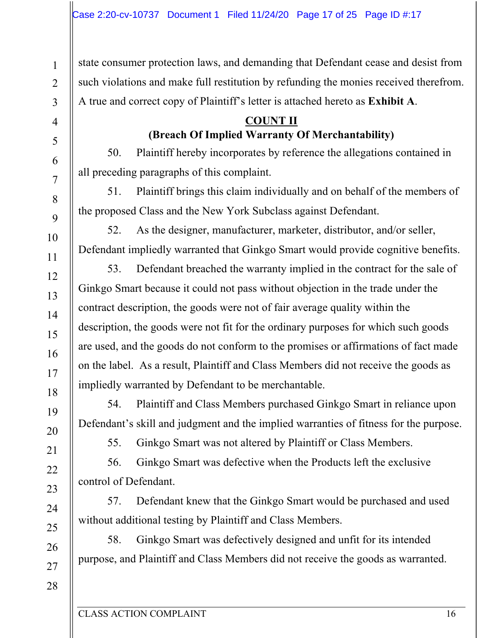state consumer protection laws, and demanding that Defendant cease and desist from such violations and make full restitution by refunding the monies received therefrom. A true and correct copy of Plaintiff's letter is attached hereto as **Exhibit A**.

## **COUNT II (Breach Of Implied Warranty Of Merchantability)**

50. Plaintiff hereby incorporates by reference the allegations contained in all preceding paragraphs of this complaint.

51. Plaintiff brings this claim individually and on behalf of the members of the proposed Class and the New York Subclass against Defendant.

52. As the designer, manufacturer, marketer, distributor, and/or seller, Defendant impliedly warranted that Ginkgo Smart would provide cognitive benefits.

53. Defendant breached the warranty implied in the contract for the sale of Ginkgo Smart because it could not pass without objection in the trade under the contract description, the goods were not of fair average quality within the description, the goods were not fit for the ordinary purposes for which such goods are used, and the goods do not conform to the promises or affirmations of fact made on the label. As a result, Plaintiff and Class Members did not receive the goods as impliedly warranted by Defendant to be merchantable.

54. Plaintiff and Class Members purchased Ginkgo Smart in reliance upon Defendant's skill and judgment and the implied warranties of fitness for the purpose.

55. Ginkgo Smart was not altered by Plaintiff or Class Members.

56. Ginkgo Smart was defective when the Products left the exclusive control of Defendant.

57. Defendant knew that the Ginkgo Smart would be purchased and used without additional testing by Plaintiff and Class Members.

58. Ginkgo Smart was defectively designed and unfit for its intended purpose, and Plaintiff and Class Members did not receive the goods as warranted.

1

2

3

4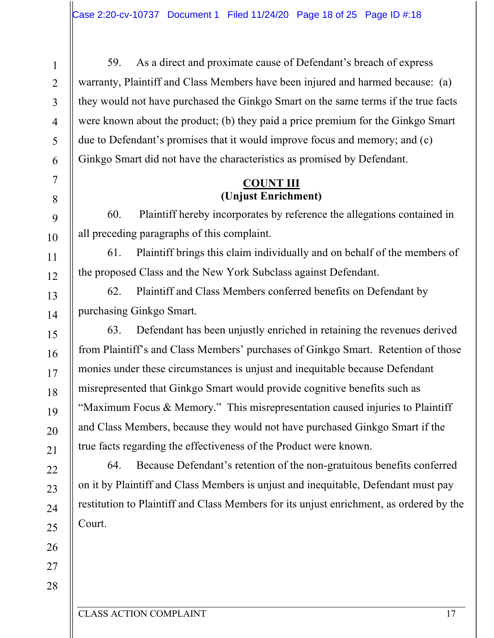59. As a direct and proximate cause of Defendant's breach of express warranty, Plaintiff and Class Members have been injured and harmed because: (a) they would not have purchased the Ginkgo Smart on the same terms if the true facts were known about the product; (b) they paid a price premium for the Ginkgo Smart due to Defendant's promises that it would improve focus and memory; and (c) Ginkgo Smart did not have the characteristics as promised by Defendant.

## **COUNT III (Unjust Enrichment)**

60. Plaintiff hereby incorporates by reference the allegations contained in all preceding paragraphs of this complaint.

61. Plaintiff brings this claim individually and on behalf of the members of the proposed Class and the New York Subclass against Defendant.

62. Plaintiff and Class Members conferred benefits on Defendant by purchasing Ginkgo Smart.

63. Defendant has been unjustly enriched in retaining the revenues derived from Plaintiff's and Class Members' purchases of Ginkgo Smart. Retention of those monies under these circumstances is unjust and inequitable because Defendant misrepresented that Ginkgo Smart would provide cognitive benefits such as "Maximum Focus & Memory." This misrepresentation caused injuries to Plaintiff and Class Members, because they would not have purchased Ginkgo Smart if the true facts regarding the effectiveness of the Product were known.

64. Because Defendant's retention of the non-gratuitous benefits conferred on it by Plaintiff and Class Members is unjust and inequitable, Defendant must pay restitution to Plaintiff and Class Members for its unjust enrichment, as ordered by the Court.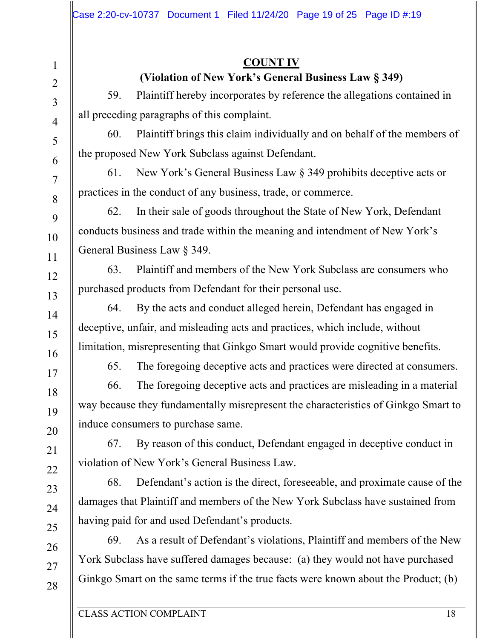## **COUNT IV (Violation of New York's General Business Law § 349)**

59. Plaintiff hereby incorporates by reference the allegations contained in all preceding paragraphs of this complaint.

60. Plaintiff brings this claim individually and on behalf of the members of the proposed New York Subclass against Defendant.

61. New York's General Business Law § 349 prohibits deceptive acts or practices in the conduct of any business, trade, or commerce.

62. In their sale of goods throughout the State of New York, Defendant conducts business and trade within the meaning and intendment of New York's General Business Law § 349.

63. Plaintiff and members of the New York Subclass are consumers who purchased products from Defendant for their personal use.

64. By the acts and conduct alleged herein, Defendant has engaged in deceptive, unfair, and misleading acts and practices, which include, without limitation, misrepresenting that Ginkgo Smart would provide cognitive benefits.

65. The foregoing deceptive acts and practices were directed at consumers.

66. The foregoing deceptive acts and practices are misleading in a material way because they fundamentally misrepresent the characteristics of Ginkgo Smart to induce consumers to purchase same.

67. By reason of this conduct, Defendant engaged in deceptive conduct in violation of New York's General Business Law.

68. Defendant's action is the direct, foreseeable, and proximate cause of the damages that Plaintiff and members of the New York Subclass have sustained from having paid for and used Defendant's products.

69. As a result of Defendant's violations, Plaintiff and members of the New York Subclass have suffered damages because: (a) they would not have purchased Ginkgo Smart on the same terms if the true facts were known about the Product; (b)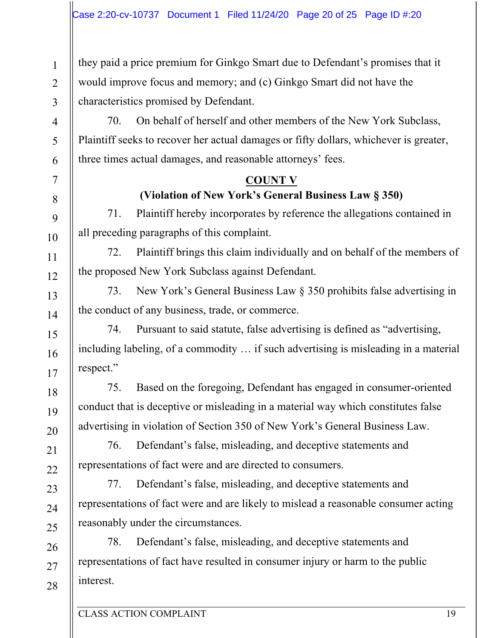they paid a price premium for Ginkgo Smart due to Defendant's promises that it would improve focus and memory; and (c) Ginkgo Smart did not have the characteristics promised by Defendant.

70. On behalf of herself and other members of the New York Subclass, Plaintiff seeks to recover her actual damages or fifty dollars, whichever is greater, three times actual damages, and reasonable attorneys' fees.

## **COUNT V**

**(Violation of New York's General Business Law § 350)**

71. Plaintiff hereby incorporates by reference the allegations contained in all preceding paragraphs of this complaint.

72. Plaintiff brings this claim individually and on behalf of the members of the proposed New York Subclass against Defendant.

73. New York's General Business Law § 350 prohibits false advertising in the conduct of any business, trade, or commerce.

74. Pursuant to said statute, false advertising is defined as "advertising, including labeling, of a commodity … if such advertising is misleading in a material respect."

75. Based on the foregoing, Defendant has engaged in consumer-oriented conduct that is deceptive or misleading in a material way which constitutes false advertising in violation of Section 350 of New York's General Business Law.

76. Defendant's false, misleading, and deceptive statements and representations of fact were and are directed to consumers.

77. Defendant's false, misleading, and deceptive statements and representations of fact were and are likely to mislead a reasonable consumer acting reasonably under the circumstances.

78. Defendant's false, misleading, and deceptive statements and representations of fact have resulted in consumer injury or harm to the public interest.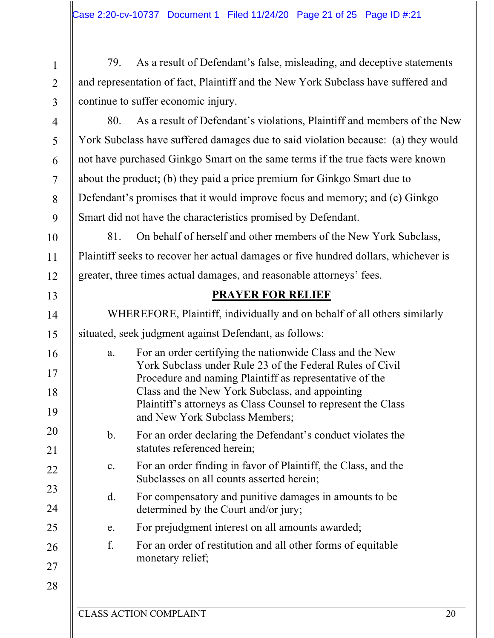79. As a result of Defendant's false, misleading, and deceptive statements and representation of fact, Plaintiff and the New York Subclass have suffered and continue to suffer economic injury.

9

10

11

12

13

14

15

16

17

18

19

20

21

22

23

1

2

80. As a result of Defendant's violations, Plaintiff and members of the New York Subclass have suffered damages due to said violation because: (a) they would not have purchased Ginkgo Smart on the same terms if the true facts were known about the product; (b) they paid a price premium for Ginkgo Smart due to Defendant's promises that it would improve focus and memory; and (c) Ginkgo Smart did not have the characteristics promised by Defendant.

81. On behalf of herself and other members of the New York Subclass, Plaintiff seeks to recover her actual damages or five hundred dollars, whichever is greater, three times actual damages, and reasonable attorneys' fees.

## **PRAYER FOR RELIEF**

WHEREFORE, Plaintiff, individually and on behalf of all others similarly situated, seek judgment against Defendant, as follows: a. For an order certifying the nationwide Class and the New York Subclass under Rule 23 of the Federal Rules of Civil Procedure and naming Plaintiff as representative of the Class and the New York Subclass, and appointing

- Plaintiff's attorneys as Class Counsel to represent the Class and New York Subclass Members;
- b. For an order declaring the Defendant's conduct violates the statutes referenced herein;
- c. For an order finding in favor of Plaintiff, the Class, and the Subclasses on all counts asserted herein;
- d. For compensatory and punitive damages in amounts to be determined by the Court and/or jury;
- e. For prejudgment interest on all amounts awarded;
- f. For an order of restitution and all other forms of equitable monetary relief;